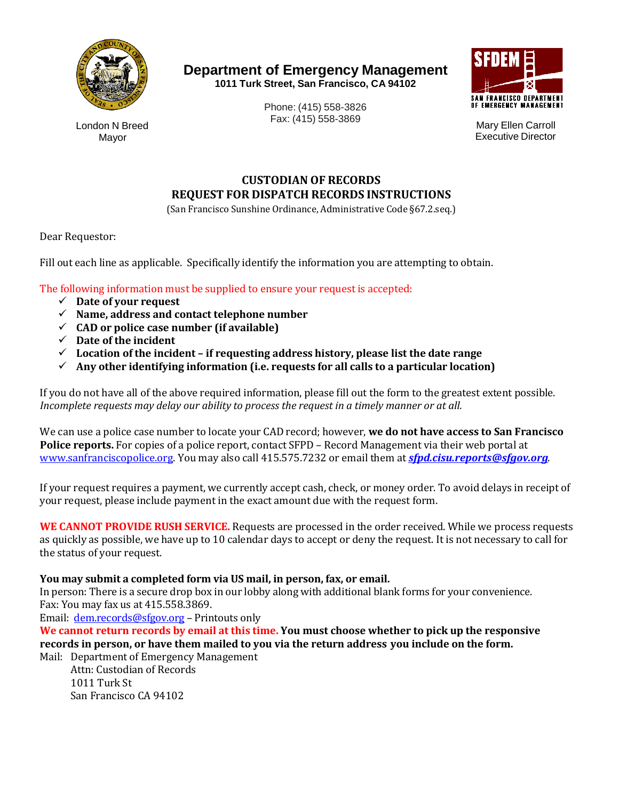

**Department of Emergency Management 1011 Turk Street, San Francisco, CA 94102**



London N Breed Mayor

Phone: (415) 558-3826 Fax: (415) 558-3869 Mary Ellen Carroll

Executive Director

# **CUSTODIAN OF RECORDS REQUEST FOR DISPATCH RECORDS INSTRUCTIONS**

(San Francisco Sunshine Ordinance, Administrative Code §67.2.seq.)

Dear Requestor:

Fill out each line as applicable. Specifically identify the information you are attempting to obtain.

The following information must be supplied to ensure your request is accepted:

- **Date of your request**
- **Name, address and contact telephone number**
- $\checkmark$  CAD or police case number (if available)
- **Date of the incident**
- **Location of the incident if requesting address history, please list the date range**
- **Any other identifying information (i.e. requests for all calls to a particular location)**

If you do not have all of the above required information, please fill out the form to the greatest extent possible. *Incomplete requests may delay our ability to process the request in a timely manner or at all.* 

We can use a police case number to locate your CAD record; however, **we do not have access to San Francisco Police reports.** For copies of a police report, contact SFPD – Record Management via their web portal at [www.sanfranciscopolice.org.](http://www.sanfranciscopolice.org/) You may also call 415.575.7232 or email them at *[sfpd.cisu.reports@sfgov.org](mailto:sfpd.cisu.reports@sfgov.org)*.

If your request requires a payment, we currently accept cash, check, or money order. To avoid delays in receipt of your request, please include payment in the exact amount due with the request form.

**WE CANNOT PROVIDE RUSH SERVICE.** Requests are processed in the order received. While we process requests as quickly as possible, we have up to 10 calendar days to accept or deny the request. It is not necessary to call for the status of your request.

### **You may submit a completed form via US mail, in person, fax, or email.**

In person: There is a secure drop box in our lobby along with additional blank forms for your convenience. Fax: You may fax us at 415.558.3869.

Email: [dem.records@sfgov.org –](mailto:dem.records@sfgov.org) Printouts only

**We cannot return records by email at this time. You must choose whether to pick up the responsive records in person, or have them mailed to you via the return address you include on the form.**

Mail: Department of Emergency Management Attn: Custodian of Records

1011 Turk St San Francisco CA 94102